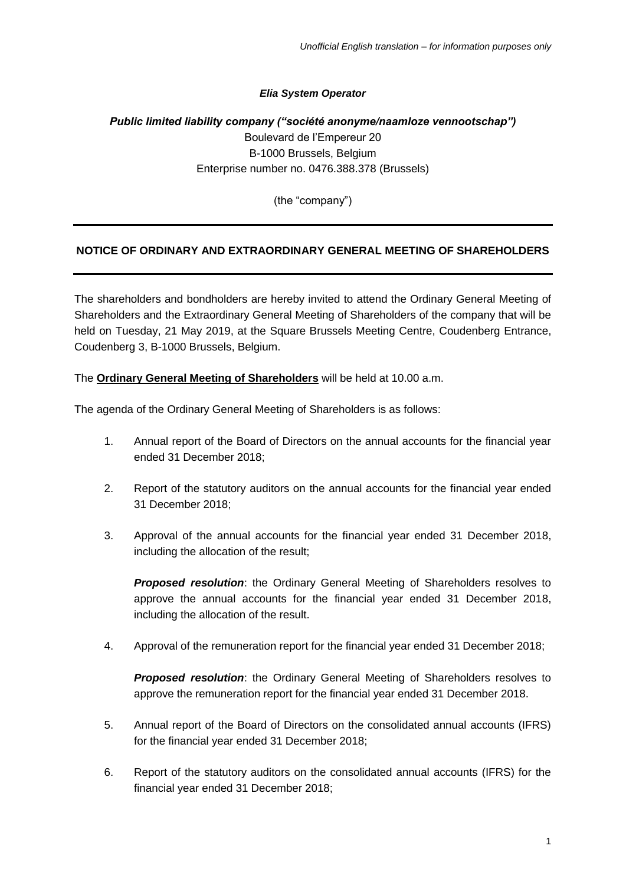#### *Elia System Operator*

# *Public limited liability company ("société anonyme/naamloze vennootschap")* Boulevard de l'Empereur 20 B-1000 Brussels, Belgium Enterprise number no. 0476.388.378 (Brussels)

(the "company")

# **NOTICE OF ORDINARY AND EXTRAORDINARY GENERAL MEETING OF SHAREHOLDERS**

The shareholders and bondholders are hereby invited to attend the Ordinary General Meeting of Shareholders and the Extraordinary General Meeting of Shareholders of the company that will be held on Tuesday, 21 May 2019, at the Square Brussels Meeting Centre, Coudenberg Entrance, Coudenberg 3, B-1000 Brussels, Belgium.

The **Ordinary General Meeting of Shareholders** will be held at 10.00 a.m.

The agenda of the Ordinary General Meeting of Shareholders is as follows:

- 1. Annual report of the Board of Directors on the annual accounts for the financial year ended 31 December 2018;
- 2. Report of the statutory auditors on the annual accounts for the financial year ended 31 December 2018;
- 3. Approval of the annual accounts for the financial year ended 31 December 2018, including the allocation of the result;

*Proposed resolution*: the Ordinary General Meeting of Shareholders resolves to approve the annual accounts for the financial year ended 31 December 2018, including the allocation of the result.

4. Approval of the remuneration report for the financial year ended 31 December 2018;

*Proposed resolution*: the Ordinary General Meeting of Shareholders resolves to approve the remuneration report for the financial year ended 31 December 2018.

- 5. Annual report of the Board of Directors on the consolidated annual accounts (IFRS) for the financial year ended 31 December 2018;
- 6. Report of the statutory auditors on the consolidated annual accounts (IFRS) for the financial year ended 31 December 2018;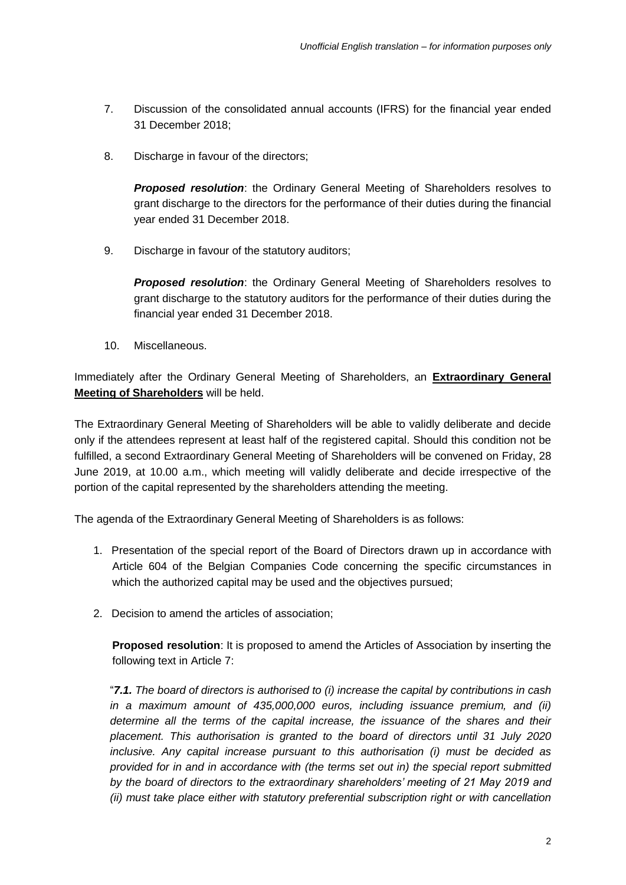- 7. Discussion of the consolidated annual accounts (IFRS) for the financial year ended 31 December 2018;
- 8. Discharge in favour of the directors:

*Proposed resolution*: the Ordinary General Meeting of Shareholders resolves to grant discharge to the directors for the performance of their duties during the financial year ended 31 December 2018.

9. Discharge in favour of the statutory auditors:

*Proposed resolution*: the Ordinary General Meeting of Shareholders resolves to grant discharge to the statutory auditors for the performance of their duties during the financial year ended 31 December 2018.

10. Miscellaneous.

Immediately after the Ordinary General Meeting of Shareholders, an **Extraordinary General Meeting of Shareholders** will be held.

The Extraordinary General Meeting of Shareholders will be able to validly deliberate and decide only if the attendees represent at least half of the registered capital. Should this condition not be fulfilled, a second Extraordinary General Meeting of Shareholders will be convened on Friday, 28 June 2019, at 10.00 a.m., which meeting will validly deliberate and decide irrespective of the portion of the capital represented by the shareholders attending the meeting.

The agenda of the Extraordinary General Meeting of Shareholders is as follows:

- 1. Presentation of the special report of the Board of Directors drawn up in accordance with Article 604 of the Belgian Companies Code concerning the specific circumstances in which the authorized capital may be used and the objectives pursued;
- 2. Decision to amend the articles of association;

**Proposed resolution**: It is proposed to amend the Articles of Association by inserting the following text in Article 7:

"*7.1. The board of directors is authorised to (i) increase the capital by contributions in cash in a maximum amount of 435,000,000 euros, including issuance premium, and (ii) determine all the terms of the capital increase, the issuance of the shares and their placement. This authorisation is granted to the board of directors until 31 July 2020 inclusive. Any capital increase pursuant to this authorisation (i) must be decided as provided for in and in accordance with (the terms set out in) the special report submitted by the board of directors to the extraordinary shareholders' meeting of 21 May 2019 and (ii) must take place either with statutory preferential subscription right or with cancellation*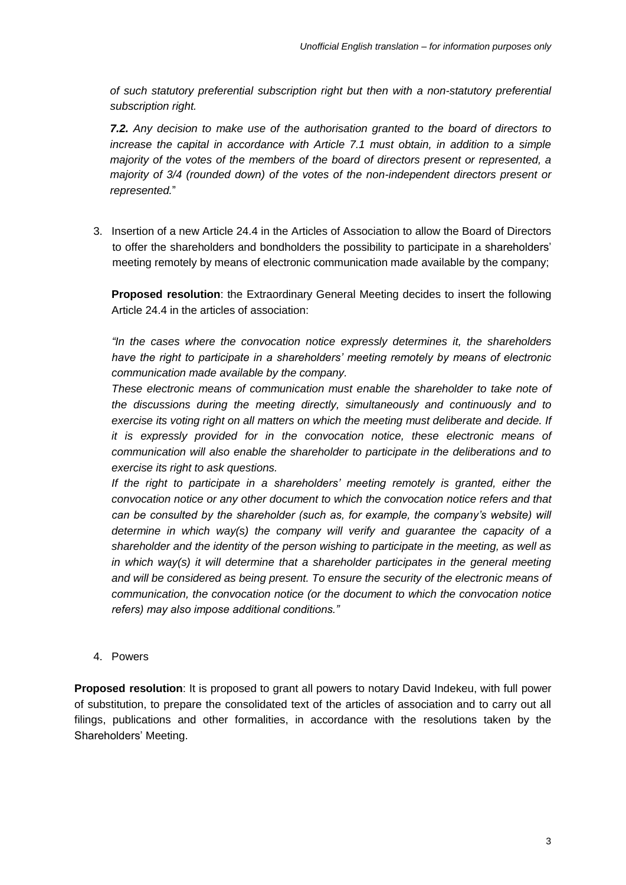*of such statutory preferential subscription right but then with a non-statutory preferential subscription right.* 

*7.2. Any decision to make use of the authorisation granted to the board of directors to increase the capital in accordance with Article 7.1 must obtain, in addition to a simple majority of the votes of the members of the board of directors present or represented, a majority of 3/4 (rounded down) of the votes of the non-independent directors present or represented.*"

3. Insertion of a new Article 24.4 in the Articles of Association to allow the Board of Directors to offer the shareholders and bondholders the possibility to participate in a shareholders' meeting remotely by means of electronic communication made available by the company;

**Proposed resolution**: the Extraordinary General Meeting decides to insert the following Article 24.4 in the articles of association:

*"In the cases where the convocation notice expressly determines it, the shareholders have the right to participate in a shareholders' meeting remotely by means of electronic communication made available by the company.*

*These electronic means of communication must enable the shareholder to take note of the discussions during the meeting directly, simultaneously and continuously and to exercise its voting right on all matters on which the meeting must deliberate and decide. If it is expressly provided for in the convocation notice, these electronic means of communication will also enable the shareholder to participate in the deliberations and to exercise its right to ask questions.* 

*If the right to participate in a shareholders' meeting remotely is granted, either the convocation notice or any other document to which the convocation notice refers and that can be consulted by the shareholder (such as, for example, the company's website) will determine in which way(s) the company will verify and guarantee the capacity of a shareholder and the identity of the person wishing to participate in the meeting, as well as in which way(s) it will determine that a shareholder participates in the general meeting and will be considered as being present. To ensure the security of the electronic means of communication, the convocation notice (or the document to which the convocation notice refers) may also impose additional conditions."* 

4. Powers

**Proposed resolution**: It is proposed to grant all powers to notary David Indekeu, with full power of substitution, to prepare the consolidated text of the articles of association and to carry out all filings, publications and other formalities, in accordance with the resolutions taken by the Shareholders' Meeting.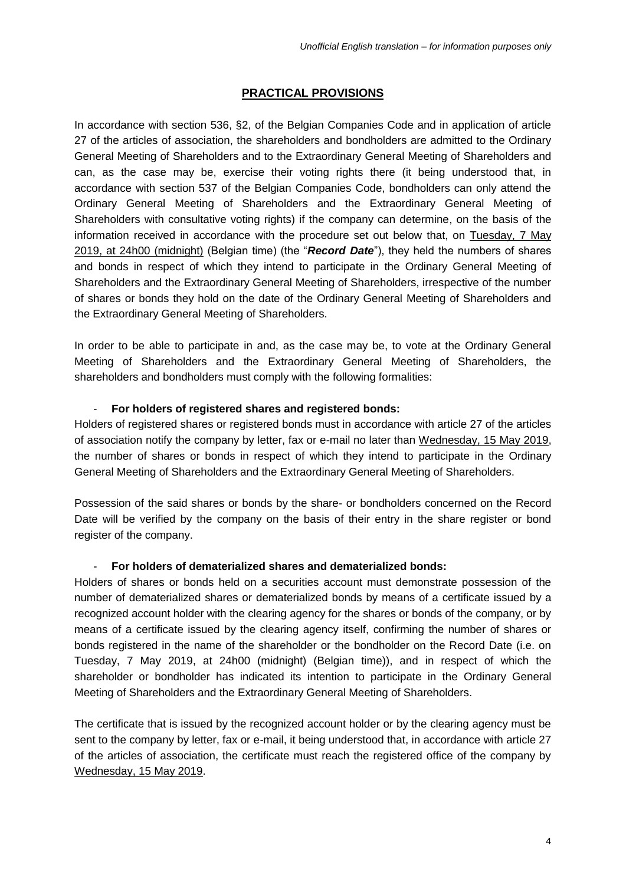# **PRACTICAL PROVISIONS**

In accordance with section 536, §2, of the Belgian Companies Code and in application of article 27 of the articles of association, the shareholders and bondholders are admitted to the Ordinary General Meeting of Shareholders and to the Extraordinary General Meeting of Shareholders and can, as the case may be, exercise their voting rights there (it being understood that, in accordance with section 537 of the Belgian Companies Code, bondholders can only attend the Ordinary General Meeting of Shareholders and the Extraordinary General Meeting of Shareholders with consultative voting rights) if the company can determine, on the basis of the information received in accordance with the procedure set out below that, on Tuesday, 7 May 2019, at 24h00 (midnight) (Belgian time) (the "*Record Date*"), they held the numbers of shares and bonds in respect of which they intend to participate in the Ordinary General Meeting of Shareholders and the Extraordinary General Meeting of Shareholders, irrespective of the number of shares or bonds they hold on the date of the Ordinary General Meeting of Shareholders and the Extraordinary General Meeting of Shareholders.

In order to be able to participate in and, as the case may be, to vote at the Ordinary General Meeting of Shareholders and the Extraordinary General Meeting of Shareholders, the shareholders and bondholders must comply with the following formalities:

#### - **For holders of registered shares and registered bonds:**

Holders of registered shares or registered bonds must in accordance with article 27 of the articles of association notify the company by letter, fax or e-mail no later than Wednesday, 15 May 2019, the number of shares or bonds in respect of which they intend to participate in the Ordinary General Meeting of Shareholders and the Extraordinary General Meeting of Shareholders.

Possession of the said shares or bonds by the share- or bondholders concerned on the Record Date will be verified by the company on the basis of their entry in the share register or bond register of the company.

# - **For holders of dematerialized shares and dematerialized bonds:**

Holders of shares or bonds held on a securities account must demonstrate possession of the number of dematerialized shares or dematerialized bonds by means of a certificate issued by a recognized account holder with the clearing agency for the shares or bonds of the company, or by means of a certificate issued by the clearing agency itself, confirming the number of shares or bonds registered in the name of the shareholder or the bondholder on the Record Date (i.e. on Tuesday, 7 May 2019, at 24h00 (midnight) (Belgian time)), and in respect of which the shareholder or bondholder has indicated its intention to participate in the Ordinary General Meeting of Shareholders and the Extraordinary General Meeting of Shareholders.

The certificate that is issued by the recognized account holder or by the clearing agency must be sent to the company by letter, fax or e-mail, it being understood that, in accordance with article 27 of the articles of association, the certificate must reach the registered office of the company by Wednesday, 15 May 2019.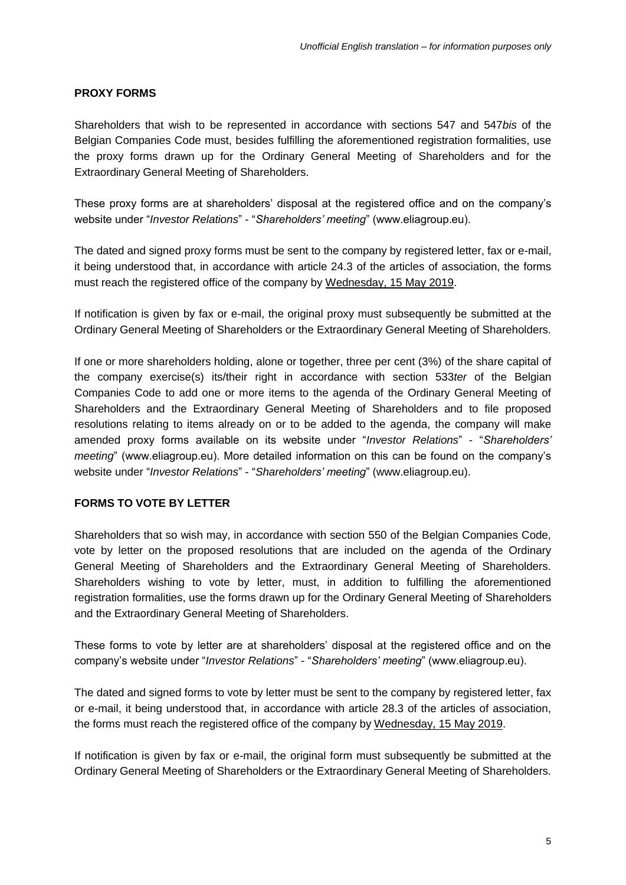#### **PROXY FORMS**

Shareholders that wish to be represented in accordance with sections 547 and 547*bis* of the Belgian Companies Code must, besides fulfilling the aforementioned registration formalities, use the proxy forms drawn up for the Ordinary General Meeting of Shareholders and for the Extraordinary General Meeting of Shareholders.

These proxy forms are at shareholders' disposal at the registered office and on the company's website under "*Investor Relations*" - "*Shareholders' meeting*" (www.eliagroup.eu).

The dated and signed proxy forms must be sent to the company by registered letter, fax or e-mail, it being understood that, in accordance with article 24.3 of the articles of association, the forms must reach the registered office of the company by Wednesday, 15 May 2019.

If notification is given by fax or e-mail, the original proxy must subsequently be submitted at the Ordinary General Meeting of Shareholders or the Extraordinary General Meeting of Shareholders.

If one or more shareholders holding, alone or together, three per cent (3%) of the share capital of the company exercise(s) its/their right in accordance with section 533*ter* of the Belgian Companies Code to add one or more items to the agenda of the Ordinary General Meeting of Shareholders and the Extraordinary General Meeting of Shareholders and to file proposed resolutions relating to items already on or to be added to the agenda, the company will make amended proxy forms available on its website under "*Investor Relations*" - "*Shareholders' meeting*" (www.eliagroup.eu). More detailed information on this can be found on the company's website under "*Investor Relations*" - "*Shareholders' meeting*" (www.eliagroup.eu).

# **FORMS TO VOTE BY LETTER**

Shareholders that so wish may, in accordance with section 550 of the Belgian Companies Code, vote by letter on the proposed resolutions that are included on the agenda of the Ordinary General Meeting of Shareholders and the Extraordinary General Meeting of Shareholders. Shareholders wishing to vote by letter, must, in addition to fulfilling the aforementioned registration formalities, use the forms drawn up for the Ordinary General Meeting of Shareholders and the Extraordinary General Meeting of Shareholders.

These forms to vote by letter are at shareholders' disposal at the registered office and on the company's website under "*Investor Relations*" - "*Shareholders' meeting*" (www.eliagroup.eu).

The dated and signed forms to vote by letter must be sent to the company by registered letter, fax or e-mail, it being understood that, in accordance with article 28.3 of the articles of association, the forms must reach the registered office of the company by Wednesday, 15 May 2019.

If notification is given by fax or e-mail, the original form must subsequently be submitted at the Ordinary General Meeting of Shareholders or the Extraordinary General Meeting of Shareholders.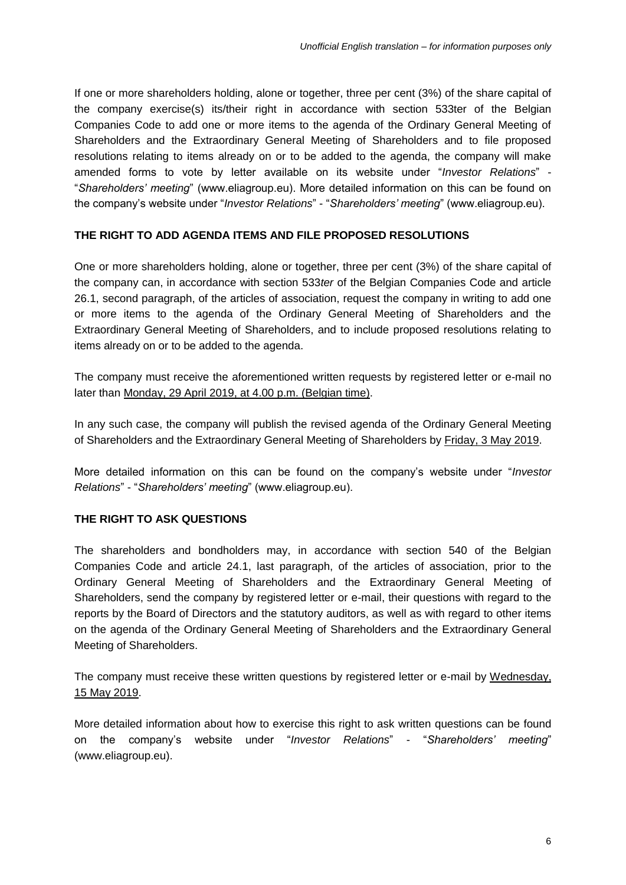If one or more shareholders holding, alone or together, three per cent (3%) of the share capital of the company exercise(s) its/their right in accordance with section 533ter of the Belgian Companies Code to add one or more items to the agenda of the Ordinary General Meeting of Shareholders and the Extraordinary General Meeting of Shareholders and to file proposed resolutions relating to items already on or to be added to the agenda, the company will make amended forms to vote by letter available on its website under "*Investor Relations*" - "*Shareholders' meeting*" (www.eliagroup.eu). More detailed information on this can be found on the company's website under "*Investor Relations*" - "*Shareholders' meeting*" (www.eliagroup.eu).

# **THE RIGHT TO ADD AGENDA ITEMS AND FILE PROPOSED RESOLUTIONS**

One or more shareholders holding, alone or together, three per cent (3%) of the share capital of the company can, in accordance with section 533*ter* of the Belgian Companies Code and article 26.1, second paragraph, of the articles of association, request the company in writing to add one or more items to the agenda of the Ordinary General Meeting of Shareholders and the Extraordinary General Meeting of Shareholders, and to include proposed resolutions relating to items already on or to be added to the agenda.

The company must receive the aforementioned written requests by registered letter or e-mail no later than Monday, 29 April 2019, at 4.00 p.m. (Belgian time).

In any such case, the company will publish the revised agenda of the Ordinary General Meeting of Shareholders and the Extraordinary General Meeting of Shareholders by Friday, 3 May 2019.

More detailed information on this can be found on the company's website under "*Investor Relations*" - "*Shareholders' meeting*" (www.eliagroup.eu).

# **THE RIGHT TO ASK QUESTIONS**

The shareholders and bondholders may, in accordance with section 540 of the Belgian Companies Code and article 24.1, last paragraph, of the articles of association, prior to the Ordinary General Meeting of Shareholders and the Extraordinary General Meeting of Shareholders, send the company by registered letter or e-mail, their questions with regard to the reports by the Board of Directors and the statutory auditors, as well as with regard to other items on the agenda of the Ordinary General Meeting of Shareholders and the Extraordinary General Meeting of Shareholders.

The company must receive these written questions by registered letter or e-mail by Wednesday, 15 May 2019.

More detailed information about how to exercise this right to ask written questions can be found on the company's website under "*Investor Relations*" - "*Shareholders' meeting*" (www.eliagroup.eu).